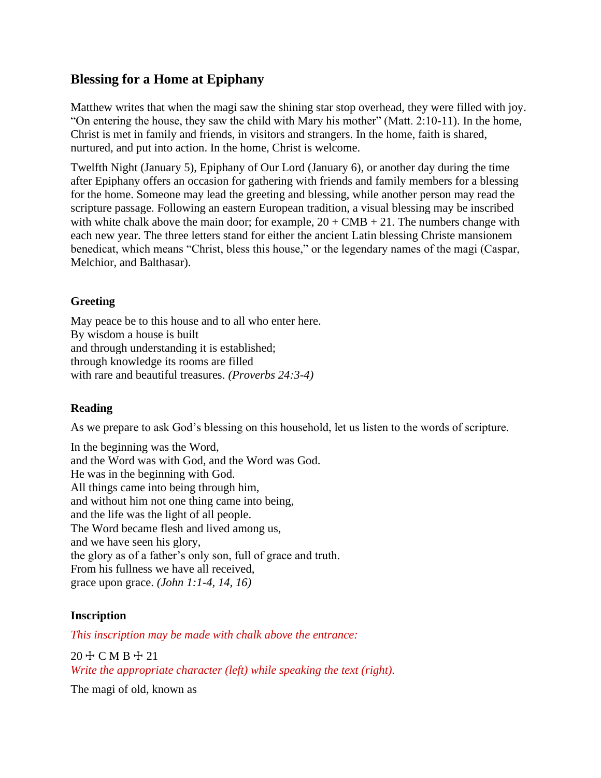# **Blessing for a Home at Epiphany**

Matthew writes that when the magi saw the shining star stop overhead, they were filled with joy. "On entering the house, they saw the child with Mary his mother" (Matt. 2:10-11). In the home, Christ is met in family and friends, in visitors and strangers. In the home, faith is shared, nurtured, and put into action. In the home, Christ is welcome.

Twelfth Night (January 5), Epiphany of Our Lord (January 6), or another day during the time after Epiphany offers an occasion for gathering with friends and family members for a blessing for the home. Someone may lead the greeting and blessing, while another person may read the scripture passage. Following an eastern European tradition, a visual blessing may be inscribed with white chalk above the main door; for example,  $20 + CMB + 21$ . The numbers change with each new year. The three letters stand for either the ancient Latin blessing Christe mansionem benedicat, which means "Christ, bless this house," or the legendary names of the magi (Caspar, Melchior, and Balthasar).

## **Greeting**

May peace be to this house and to all who enter here. By wisdom a house is built and through understanding it is established; through knowledge its rooms are filled with rare and beautiful treasures. *(Proverbs 24:3-4)*

## **Reading**

As we prepare to ask God's blessing on this household, let us listen to the words of scripture.

In the beginning was the Word, and the Word was with God, and the Word was God. He was in the beginning with God. All things came into being through him, and without him not one thing came into being, and the life was the light of all people. The Word became flesh and lived among us, and we have seen his glory, the glory as of a father's only son, full of grace and truth. From his fullness we have all received, grace upon grace. *(John 1:1-4, 14, 16)*

## **Inscription**

*This inscription may be made with chalk above the entrance:*

20 ☩ C M B ☩ 21 *Write the appropriate character (left) while speaking the text (right).*

The magi of old, known as